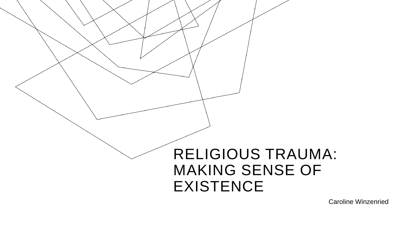

Caroline Winzenried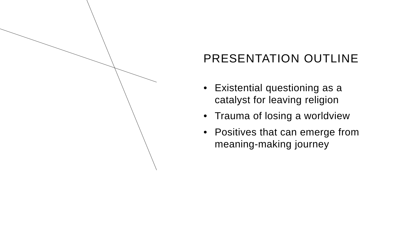# PRESENTATION OUTLINE

- Existential questioning as a catalyst for leaving religion
- Trauma of losing a worldview
- Positives that can emerge from meaning-making journey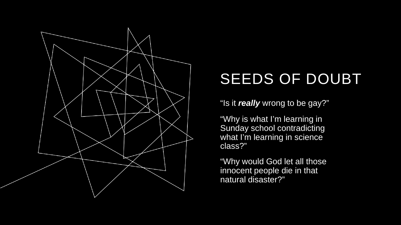

## SEEDS OF DOUBT

"Is it *really* wrong to be gay?"

"Why is what I'm learning in Sunday school contradicting what I'm learning in science class?"

"Why would God let all those innocent people die in that natural disaster?"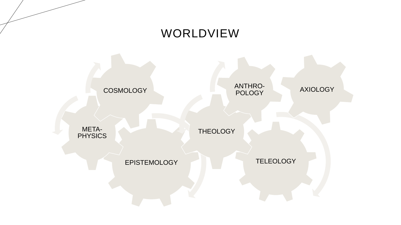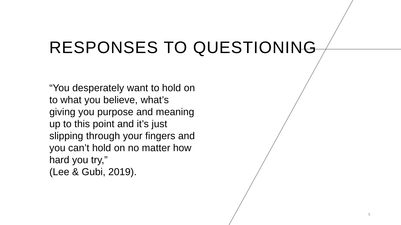# RESPONSES TO QUESTIONING

"You desperately want to hold on to what you believe, what's giving you purpose and meaning up to this point and it's just slipping through your fingers and you can't hold on no matter how hard you try," (Lee & Gubi, 2019).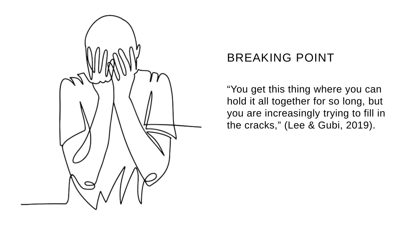

#### BREAKING POINT

"You get this thing where you can hold it all together for so long, but you are increasingly trying to fill in the cracks," (Lee & Gubi, 2019).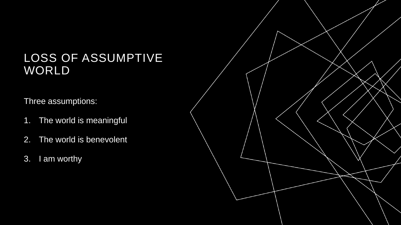#### LOSS OF ASSUMPTIVE WORLD

Three assumptions:

- 1. The world is meaningful
- 2. The world is benevolent
- 3. I am worthy

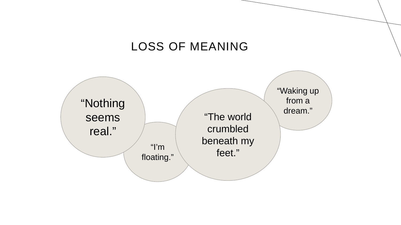#### LOSS OF MEANING

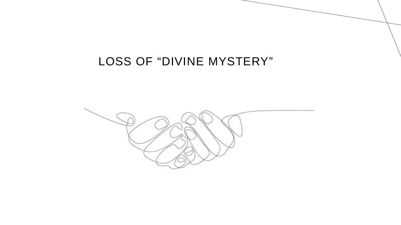#### LOSS OF "DIVINE MYSTERY"

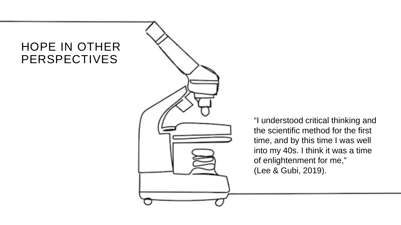#### HOPE IN OTHER PERSPECTIVES



"I understood critical thinking and the scientific method for the first time, and by this time I was well into my 40s. I think it was a time of enlightenment for me," (Lee & Gubi, 2019).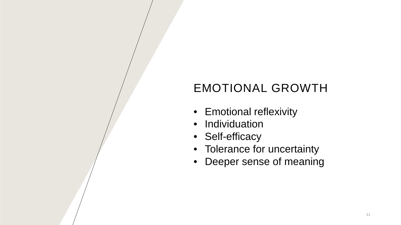### EMOTIONAL GROWTH

- Emotional reflexivity
- Individuation
- Self-efficacy
- Tolerance for uncertainty
- Deeper sense of meaning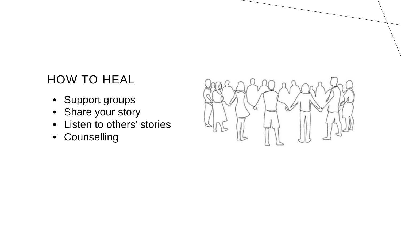### HOW TO HEAL

- Support groups
- Share your story
- Listen to others' stories
- Counselling

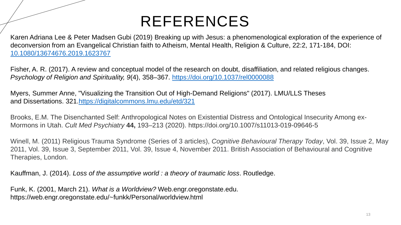## REFERENCES

Karen Adriana Lee & Peter Madsen Gubi (2019) Breaking up with Jesus: a phenomenological exploration of the experience of deconversion from an Evangelical Christian faith to Atheism, Mental Health, Religion & Culture, 22:2, 171-184, DOI: [10.1080/13674676.2019.1623767](https://doi.org/10.1080/13674676.2019.1623767)

Fisher, A. R. (2017). A review and conceptual model of the research on doubt, disaffiliation, and related religious changes. *Psychology of Religion and Spirituality, 9*(4), 358–367. <https://doi.org/10.1037/rel0000088>

Myers, Summer Anne, "Visualizing the Transition Out of High-Demand Religions" (2017). LMU/LLS Theses and Dissertations. 321[.https://digitalcommons.lmu.edu/etd/321](https://digitalcommons.lmu.edu/etd/321)

Brooks, E.M. The Disenchanted Self: Anthropological Notes on Existential Distress and Ontological Insecurity Among ex-Mormons in Utah. *Cult Med Psychiatry* **44,** 193–213 (2020). https://doi.org/10.1007/s11013-019-09646-5

Winell, M. (2011) Religious Trauma Syndrome (Series of 3 articles), *Cognitive Behavioural Therapy Today*, Vol. 39, Issue 2, May 2011, Vol. 39, Issue 3, September 2011, Vol. 39, Issue 4, November 2011. British Association of Behavioural and Cognitive Therapies, London.

Kauffman, J. (2014). *Loss of the assumptive world : a theory of traumatic loss*. Routledge.

Funk, K. (2001, March 21). *What is a Worldview?* Web.engr.oregonstate.edu. https://web.engr.oregonstate.edu/~funkk/Personal/worldview.html